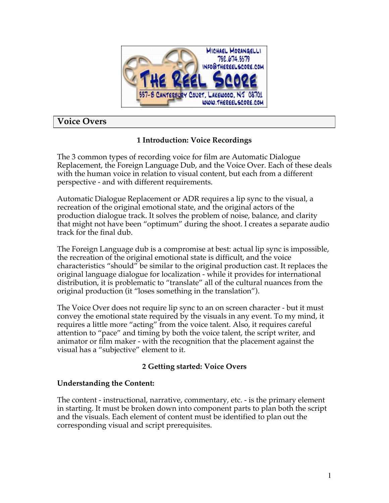

# **Voice Overs**

# **1 Introduction: Voice Recordings**

The 3 common types of recording voice for film are Automatic Dialogue Replacement, the Foreign Language Dub, and the Voice Over. Each of these deals with the human voice in relation to visual content, but each from a different perspective - and with different requirements.

Automatic Dialogue Replacement or ADR requires a lip sync to the visual, a recreation of the original emotional state, and the original actors of the production dialogue track. It solves the problem of noise, balance, and clarity that might not have been "optimum" during the shoot. I creates a separate audio track for the final dub.

The Foreign Language dub is a compromise at best: actual lip sync is impossible, the recreation of the original emotional state is difficult, and the voice characteristics "should" be similar to the original production cast. It replaces the original language dialogue for localization - while it provides for international distribution, it is problematic to "translate" all of the cultural nuances from the original production (it "loses something in the translation").

The Voice Over does not require lip sync to an on screen character - but it must convey the emotional state required by the visuals in any event. To my mind, it requires a little more "acting" from the voice talent. Also, it requires careful attention to "pace" and timing by both the voice talent, the script writer, and animator or film maker - with the recognition that the placement against the visual has a "subjective" element to it.

# **2 Getting started: Voice Overs**

## **Understanding the Content:**

The content - instructional, narrative, commentary, etc. - is the primary element in starting. It must be broken down into component parts to plan both the script and the visuals. Each element of content must be identified to plan out the corresponding visual and script prerequisites.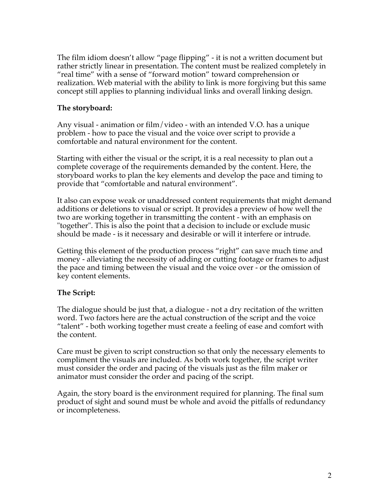The film idiom doesn't allow "page flipping" - it is not a written document but rather strictly linear in presentation. The content must be realized completely in "real time" with a sense of "forward motion" toward comprehension or realization. Web material with the ability to link is more forgiving but this same concept still applies to planning individual links and overall linking design.

#### **The storyboard:**

Any visual - animation or film/video - with an intended V.O. has a unique problem - how to pace the visual and the voice over script to provide a comfortable and natural environment for the content.

Starting with either the visual or the script, it is a real necessity to plan out a complete coverage of the requirements demanded by the content. Here, the storyboard works to plan the key elements and develop the pace and timing to provide that "comfortable and natural environment".

It also can expose weak or unaddressed content requirements that might demand additions or deletions to visual or script. It provides a preview of how well the two are working together in transmitting the content - with an emphasis on "together". This is also the point that a decision to include or exclude music should be made - is it necessary and desirable or will it interfere or intrude.

Getting this element of the production process "right" can save much time and money - alleviating the necessity of adding or cutting footage or frames to adjust the pace and timing between the visual and the voice over - or the omission of key content elements.

### **The Script:**

The dialogue should be just that, a dialogue - not a dry recitation of the written word. Two factors here are the actual construction of the script and the voice "talent" - both working together must create a feeling of ease and comfort with the content.

Care must be given to script construction so that only the necessary elements to compliment the visuals are included. As both work together, the script writer must consider the order and pacing of the visuals just as the film maker or animator must consider the order and pacing of the script.

Again, the story board is the environment required for planning. The final sum product of sight and sound must be whole and avoid the pitfalls of redundancy or incompleteness.